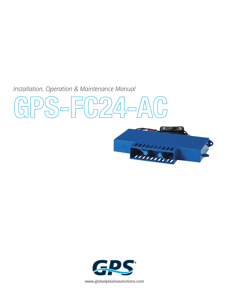*Installation, Operation & Maintenance Manual* 

**GPS-FC24-AC** 





**www.globalplasmasolutions.com**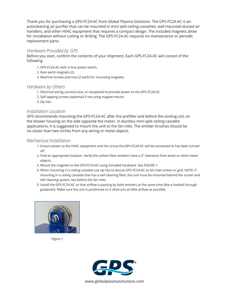Thank you for purchasing a GPS-FC24-AC from Global Plasma Solutions. The GPS-FC24-AC is an autocleaning air purifier that can be mounted in mini split ceiling cassettes, wall mounted ducted air handlers, and other HVAC equipment that requires a compact design. The included magnets allow for installation without cutting or drilling. The GPS-FC24-AC requires no maintenance or periodic replacement parts.

#### *Hardware Provided by GPS*

Before you start, confirm the contents of your shipment. Each GPS-FC24-AC will consist of the following

- 1. GPS-FC24-AC with in line power switch.
- 2. Rare earth magnets (2).
- 3. Machine screws and nuts (2 each) for mounting magnets.

#### *Hardware by Others*

- 1. Electrical wiring, junction box, or receptacle to provide power to the GPS-FC24-AC.
- 2. Self-tapping screws (optional) if not using magnet mount.
- 3. Zip ties.

#### *Installation Location*

GPS recommends mounting the GPS-FC24-AC after the prefilter and before the cooling coil, on the blower housing on the side opposite the motor. In ductless mini-split ceiling cassette applications, it is suggested to mount the unit to the fan inlet. The emitter brushes should be no closer than two inches from any wiring or metal objects.

#### *Mechanical Installation*

- 1. Ensure power to the HVAC equipment and the circuit the GPS-FC24-AC will be connected to has been turned off.
- 2. Find an appropriate location. Verify the carbon fiber emitters have a 2" clearance from wires or other metal objects.
- 3. Mount the magnets to the GPS-FC24-AC using included hardware. See FIGURE 1.
- 4. When mounting in a ceiling cassette use zip ties to secure GPS-FC24-AC to fan inlet screen or grid. NOTE: if mounting in a ceiling cassette that has a self cleaning filter, the unit must be mounted behind the screen and self cleaning system, but before the fan inlet.
- 5. Install the GPS-FC24-AC so that airflow is passing by both emitters at the same time (like a football through goalposts). Make sure the unit is positioned so it obstructs as little airflow as possible.



Figure 1

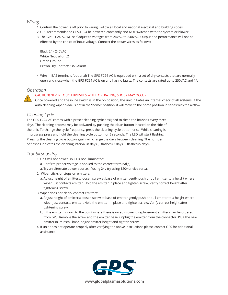#### *Wiring*

- 1. Confirm the power is off prior to wiring. Follow all local and national electrical and building codes.
- 2. GPS recommends the GPS-FC24 be powered constantly and NOT switched with the system or blower.
- 3. The GPS-FC24-AC will self-adjust to voltages from 24VAC to 240VAC. Output and performance will not be effected by the choice of input voltage. Connect the power wires as follows:

Black 24 - 240VAC White Neutral or L2 Green Ground Brown Dry Contacts/BAS Alarm

4. Wire in BAS terminals (optional) The GPS-FC24-AC is equipped with a set of dry contacts that are normally open and close when the GPS-FC24-AC is on and has no faults. The contacts are rated up to 250VAC and 1A.

## *Operation*

**!**

#### CAUTION! NEVER TOUCH BRUSHES WHILE OPERATING, SHOCK MAY OCCUR

Once powered and the inline switch is in the on position, the unit initiates an internal check of all systems. If the auto cleaning wiper blade is not in the "home" position, it will move to the home position in series with the airflow.

# *Cleaning Cycle*

The GPS-FC24-AC comes with a preset cleaning cycle designed to clean the brushes every three days. The cleaning process may be activated by pushing the clean button located on the side of the unit. To change the cycle frequency, press the cleaning cycle button once. While cleaning is in progress press and hold the cleaning cycle button for 5 seconds. The LED will start flashing. Pressing the cleaning cycle button again will change the days between cleaning. The number of flashes indicates the cleaning interval in days (3 flashes=3 days, 5 flashes=5 days).

### *Troubleshooting*

- 1. Unit will not power up, LED not illuminated:
	- a. Confirm proper voltage is applied to the correct terminal(s).
	- a. Try an alternate power source. If using 24v try using 120v or vice versa.
- 2. Wiper sticks or stops on emitters:
	- a. Adjust height of emitters: loosen screw at base of emitter gently push or pull emitter to a height where wiper just contacts emitter. Hold the emitter in place and tighten screw. Verify correct height after tightening screw.
- 3. Wiper does not clean/ contact emitters:
	- a. Adjust height of emitters: loosen screw at base of emitter gently push or pull emitter to a height where wiper just contacts emitter. Hold the emitter in place and tighten screw. Verify correct height after tightening screw.
	- b. If the emitter is worn to the point where there is no adjustment, replacement emitters can be ordered from GPS. Remove the screw and the emitter base, unplug the emitter from the connector. Plug the new emitter in, reinstall base, adjust emitter height and tighten screw.
- 4. If unit does not operate properly after verifying the above instructions please contact GPS for additional assistance.



**www.globalplasmasolutions.com**